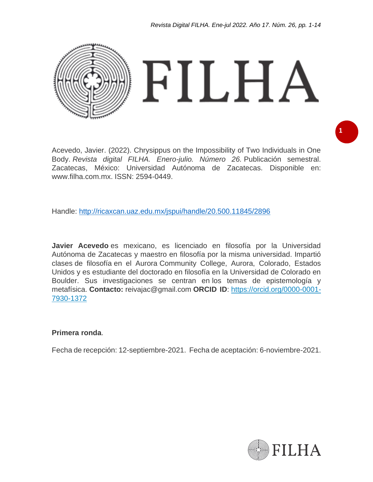

Acevedo, Javier. (2022). Chrysippus on the Impossibility of Two Individuals in One Body. *Revista digital FILHA. Enero-julio. Número 26.* Publicación semestral. Zacatecas, México: Universidad Autónoma de Zacatecas. Disponible en: www.filha.com.mx. ISSN: 2594-0449.

Handle:<http://ricaxcan.uaz.edu.mx/jspui/handle/20.500.11845/2896>

**Javier Acevedo** es mexicano, es licenciado en filosofía por la Universidad Autónoma de Zacatecas y maestro en filosofía por la misma universidad. Impartió clases de filosofía en el Aurora Community College, Aurora, Colorado, Estados Unidos y es estudiante del doctorado en filosofía en la Universidad de Colorado en Boulder. Sus investigaciones se centran en los temas de epistemología y metafísica. **Contacto:** reivajac@gmail.com **ORCID ID**: [https://orcid.org/0000-0001-](https://orcid.org/0000-0001-7930-1372) [7930-1372](https://orcid.org/0000-0001-7930-1372)

#### **Primera ronda**.

Fecha de recepción: 12-septiembre-2021. Fecha de aceptación: 6-noviembre-2021.



**1**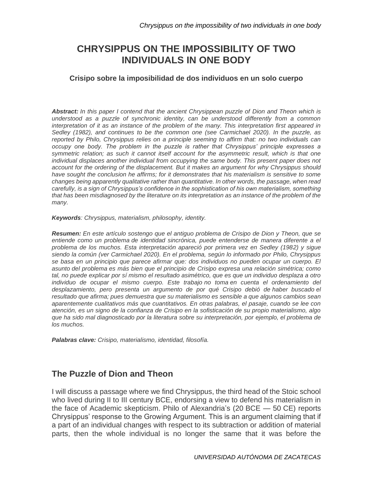# **CHRYSIPPUS ON THE IMPOSSIBILITY OF TWO INDIVIDUALS IN ONE BODY**

#### **Crisipo sobre la imposibilidad de dos individuos en un solo cuerpo**

*Abstract: In this paper I contend that the ancient Chrysippean puzzle of Dion and Theon which is understood as a puzzle of synchronic identity, can be understood differently from a common interpretation of it as an instance of the problem of the many. This interpretation first appeared in Sedley (1982), and continues to be the common one (see Carmichael 2020). In the puzzle, as reported by Philo, Chrysippus relies on a principle seeming to affirm that: no two individuals can occupy one body. The problem in the puzzle is rather that Chrysippus' principle expresses a symmetric relation; as such it cannot itself account for the asymmetric result, which is that one individual displaces another individual from occupying the same body. This present paper does not account for the ordering of the displacement. But it makes an argument for why Chrysippus should have sought the conclusion he affirms; for it demonstrates that his materialism is sensitive to some changes being apparently qualitative rather than quantitative. In other words, the passage, when read carefully, is a sign of Chrysippus's confidence in the sophistication of his own materialism, something*  that has been misdiagnosed by the literature on its interpretation as an instance of the problem of the *many.*

*Keywords: Chrysippus, materialism, philosophy, identity.*

*Resumen: En este artículo sostengo que el antiguo problema de Crisipo de Dion y Theon, que se entiende como un problema de identidad sincrónica, puede entenderse de manera diferente a el problema de los muchos. Esta interpretación apareció por primera vez en Sedley (1982) y sigue siendo la común (ver Carmichael 2020). En el problema, según lo informado por Philo, Chrysippus se basa en un principio que parece afirmar que: dos individuos no pueden ocupar un cuerpo. El asunto del problema es más bien que el principio de Crisipo expresa una relación simétrica; como tal, no puede explicar por sí mismo el resultado asimétrico, que es que un individuo desplaza a otro individuo de ocupar el mismo cuerpo. Este trabajo no toma en cuenta el ordenamiento del desplazamiento, pero presenta un argumento de por qué Crisipo debió de haber buscado el resultado que afirma; pues demuestra que su materialismo es sensible a que algunos cambios sean aparentemente cualitativos más que cuantitativos. En otras palabras, el pasaje, cuando se lee con atención, es un signo de la confianza de Crisipo en la sofisticación de su propio materialismo, algo que ha sido mal diagnosticado por la literatura sobre su interpretación, por ejemplo, el problema de los muchos.*

*Palabras clave: Crisipo, materialismo, identidad, filosofía.*

### **The Puzzle of Dion and Theon**

I will discuss a passage where we find Chrysippus, the third head of the Stoic school who lived during II to III century BCE, endorsing a view to defend his materialism in the face of Academic skepticism. Philo of Alexandria's (20 BCE — 50 CE) reports Chrysippus' response to the Growing Argument. This is an argument claiming that if a part of an individual changes with respect to its subtraction or addition of material parts, then the whole individual is no longer the same that it was before the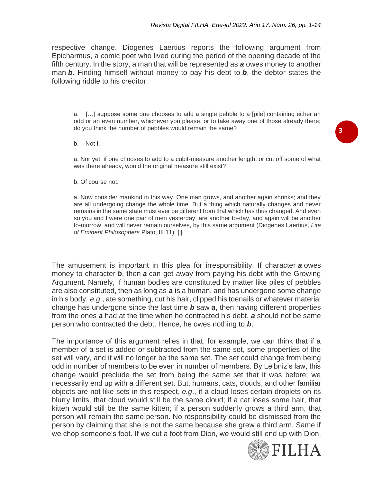respective change. Diogenes Laertius reports the following argument from Epicharmus, a comic poet who lived during the period of the opening decade of the fifth century. In the story, a man that will be represented as *a* owes money to another man *b*. Finding himself without money to pay his debt to *b*, the debtor states the following riddle to his creditor:

a. […] suppose some one chooses to add a single pebble to a [pile] containing either an odd or an even number, whichever you please, or to take away one of those already there; do you think the number of pebbles would remain the same?

b. Not I.

a. Nor yet, if one chooses to add to a cubit-measure another length, or cut off some of what was there already, would the original measure still exist?

b. Of course not.

a. Now consider mankind in this way. One man grows, and another again shrinks; and they are all undergoing change the whole time. But a thing which naturally changes and never remains in the same state must ever be different from that which has thus changed. And even so you and I were one pair of men yesterday, are another to-day, and again will be another to-morrow, and will never remain ourselves, by this same argument (Diogenes Laertius, *Life of Eminent Philosophers* Plato, III 11). [i]

The amusement is important in this plea for irresponsibility. If character *a* owes money to character *b*, then *a* can get away from paying his debt with the Growing Argument. Namely, if human bodies are constituted by matter like piles of pebbles are also constituted, then as long as *a* is a human, and has undergone some change in his body, *e.g*., ate something, cut his hair, clipped his toenails or whatever material change has undergone since the last time *b* saw *a*, then having different properties from the ones *a* had at the time when he contracted his debt, *a* should not be same person who contracted the debt. Hence, he owes nothing to *b*.

The importance of this argument relies in that, for example, we can think that if a member of a set is added or subtracted from the same set, some properties of the set will vary, and it will no longer be the same set. The set could change from being odd in number of members to be even in number of members. By Leibniz's law, this change would preclude the set from being the same set that it was before; we necessarily end up with a different set. But, humans, cats, clouds, and other familiar objects are not like sets in this respect, *e.g*., if a cloud loses certain droplets on its blurry limits, that cloud would still be the same cloud; if a cat loses some hair, that kitten would still be the same kitten; if a person suddenly grows a third arm, that person will remain the same person. No responsibility could be dismissed from the person by claiming that she is not the same because she grew a third arm. Same if we chop someone's foot. If we cut a foot from Dion, we would still end up with Dion.



**3**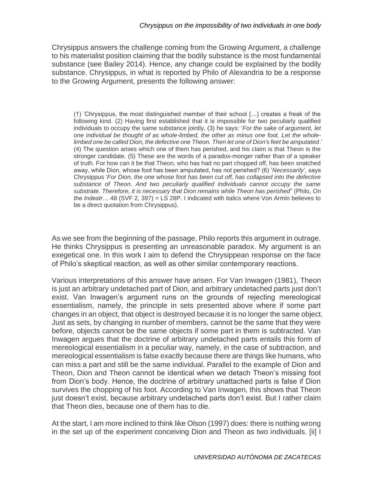Chrysippus answers the challenge coming from the Growing Argument, a challenge to his materialist position claiming that the bodily substance is the most fundamental substance (see Bailey 2014). Hence, any change could be explained by the bodily substance. Chrysippus, in what is reported by Philo of Alexandria to be a response to the Growing Argument, presents the following answer:

(1) 'Chrysippus, the most distinguished member of their school […] creates a freak of the following kind. (2) Having first established that it is impossible for two peculiarly qualified individuals to occupy the same substance jointly, (3) he says: '*For the sake of argument, let one individual be thought of as whole-limbed, the other as minus one foot. Let the wholelimbed one be called Dion, the defective one Theon. Then let one of Dion's feet be amputated*.' (4) The question arises which one of them has perished, and his claim is that Theon is the stronger candidate. (5) These are the words of a paradox-monger rather than of a speaker of truth. For how can it be that Theon, who has had no part chopped off, has been snatched away, while Dion, whose foot has been amputated, has not perished? (6) '*Necessarily*', says Chrysippus '*For Dion, the one whose foot has been cut off, has collapsed into the defective substance of Theon. And two peculiarly qualified individuals cannot occupy the same substrate. Therefore, it is necessary that Dion remains while Theon has perished*" (Philo, *On the Indestr…* 48 (SVF 2, 397) = LS 28P. I indicated with italics where Von Armin believes to be a direct quotation from Chrysippus).

As we see from the beginning of the passage, Philo reports this argument in outrage. He thinks Chrysippus is presenting an unreasonable paradox. My argument is an exegetical one. In this work I aim to defend the Chrysippean response on the face of Philo's skeptical reaction, as well as other similar contemporary reactions.

Various interpretations of this answer have arisen. For Van Inwagen (1981), Theon is just an arbitrary undetached part of Dion, and arbitrary undetached parts just don't exist. Van Inwagen's argument runs on the grounds of rejecting mereological essentialism, namely, the principle in sets presented above where if some part changes in an object, that object is destroyed because it is no longer the same object. Just as sets, by changing in number of members, cannot be the same that they were before, objects cannot be the same objects if some part in them is subtracted. Van Inwagen argues that the doctrine of arbitrary undetached parts entails this form of mereological essentialism in a peculiar way, namely, in the case of subtraction, and mereological essentialism is false exactly because there are things like humans, who can miss a part and still be the same individual. Parallel to the example of Dion and Theon, Dion and Theon cannot be identical when we detach Theon's missing foot from Dion's body. Hence, the doctrine of arbitrary unattached parts is false if Dion survives the chopping of his foot. According to Van Inwagen, this shows that Theon just doesn't exist, because arbitrary undetached parts don't exist. But I rather claim that Theon dies, because one of them has to die.

At the start, I am more inclined to think like Olson (1997) does: there is nothing wrong in the set up of the experiment conceiving Dion and Theon as two individuals. [ii] I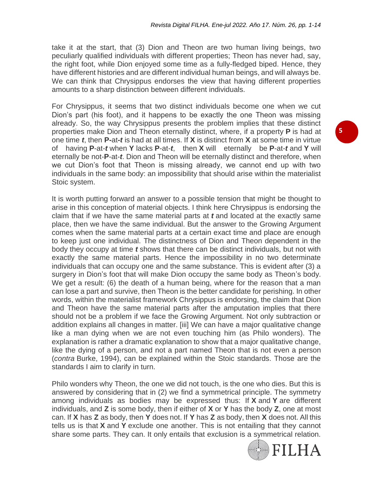take it at the start, that (3) Dion and Theon are two human living beings, two peculiarly qualified individuals with different properties; Theon has never had, say, the right foot, while Dion enjoyed some time as a fully-fledged biped. Hence, they have different histories and are different individual human beings, and will always be. We can think that Chrysippus endorses the view that having different properties amounts to a sharp distinction between different individuals.

For Chrysippus, it seems that two distinct individuals become one when we cut Dion's part (his foot), and it happens to be exactly the one Theon was missing already. So, the way Chrysippus presents the problem implies that these distinct properties make Dion and Theon eternally distinct, where, if a property **P** is had at one time *t*, then **P-**at**-***t* is had at all times. If **X** is distinct from **X** at some time in virtue of having **P**-at-*t* when **Y** lacks **P**-at-*t*, then **X** will eternally be **P**-at-*t* and **Y** will eternally be not-**P**-at-*t*. Dion and Theon will be eternally distinct and therefore, when we cut Dion's foot that Theon is missing already, we cannot end up with two individuals in the same body: an impossibility that should arise within the materialist Stoic system.

It is worth putting forward an answer to a possible tension that might be thought to arise in this conception of material objects. I think here Chrysippus is endorsing the claim that if we have the same material parts at *t* and located at the exactly same place, then we have the same individual. But the answer to the Growing Argument comes when the same material parts at a certain exact time and place are enough to keep just one individual. The distinctness of Dion and Theon dependent in the body they occupy at time *t* shows that there can be distinct individuals, but not with exactly the same material parts. Hence the impossibility in no two determinate individuals that can occupy one and the same substance. This is evident after (3) a surgery in Dion's foot that will make Dion occupy the same body as Theon's body. We get a result: (6) the death of a human being, where for the reason that a man can lose a part and survive, then Theon is the better candidate for perishing. In other words, within the materialist framework Chrysippus is endorsing, the claim that Dion and Theon have the same material parts after the amputation implies that there should not be a problem if we face the Growing Argument. Not only subtraction or addition explains all changes in matter. [iii] We can have a major qualitative change like a man dying when we are not even touching him (as Philo wonders). The explanation is rather a dramatic explanation to show that a major qualitative change, like the dying of a person, and not a part named Theon that is not even a person (*contra* Burke, 1994), can be explained within the Stoic standards. Those are the standards I aim to clarify in turn.

Philo wonders why Theon, the one we did not touch, is the one who dies. But this is answered by considering that in (2) we find a symmetrical principle. The symmetry among individuals as bodies may be expressed thus: If **X** and **Y** are different individuals, and **Z** is some body, then if either of **X** or **Y** has the body **Z**, one at most can. If **X** has **Z** as body, then **Y** does not. If **Y** has **Z** as body, then **X** does not. All this tells us is that **X** and **Y** exclude one another. This is not entailing that they cannot share some parts. They can. It only entails that exclusion is a symmetrical relation.

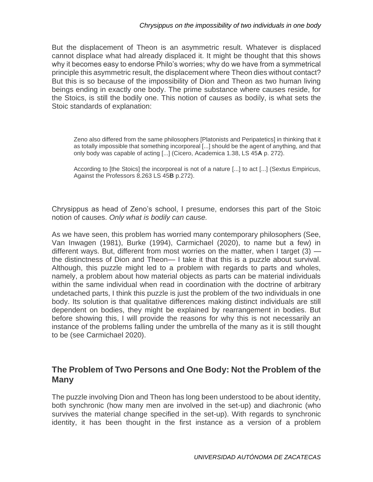But the displacement of Theon is an asymmetric result. Whatever is displaced cannot displace what had already displaced it. It might be thought that this shows why it becomes easy to endorse Philo's worries; why do we have from a symmetrical principle this asymmetric result, the displacement where Theon dies without contact? But this is so because of the impossibility of Dion and Theon as two human living beings ending in exactly one body. The prime substance where causes reside, for the Stoics, is still the bodily one. This notion of causes as bodily, is what sets the Stoic standards of explanation:

Zeno also differed from the same philosophers [Platonists and Peripatetics] in thinking that it as totally impossible that something incorporeal [...] should be the agent of anything, and that only body was capable of acting [...] (Cicero, Academica 1.38, LS 45**A** p. 272).

According to [the Stoics] the incorporeal is not of a nature [...] to act [...] (Sextus Empiricus, Against the Professors 8.263 LS 45**B** p.272).

Chrysippus as head of Zeno's school, I presume, endorses this part of the Stoic notion of causes. *Only what is bodily can cause.*

As we have seen, this problem has worried many contemporary philosophers (See, Van Inwagen (1981), Burke (1994), Carmichael (2020), to name but a few) in different ways. But, different from most worries on the matter, when I target  $(3)$  the distinctness of Dion and Theon— I take it that this is a puzzle about survival. Although, this puzzle might led to a problem with regards to parts and wholes, namely, a problem about how material objects as parts can be material individuals within the same individual when read in coordination with the doctrine of arbitrary undetached parts, I think this puzzle is just the problem of the two individuals in one body. Its solution is that qualitative differences making distinct individuals are still dependent on bodies, they might be explained by rearrangement in bodies. But before showing this, I will provide the reasons for why this is not necessarily an instance of the problems falling under the umbrella of the many as it is still thought to be (see Carmichael 2020).

# **The Problem of Two Persons and One Body: Not the Problem of the Many**

The puzzle involving Dion and Theon has long been understood to be about identity, both synchronic (how many men are involved in the set-up) and diachronic (who survives the material change specified in the set-up). With regards to synchronic identity, it has been thought in the first instance as a version of a problem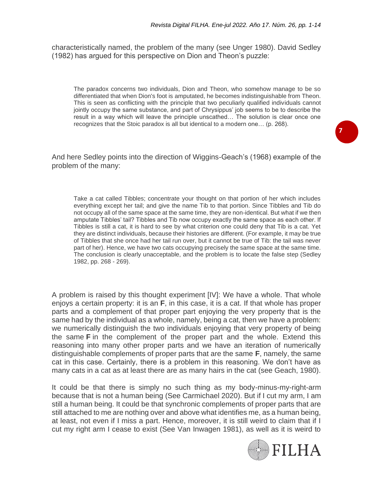characteristically named, the problem of the many (see Unger 1980). David Sedley (1982) has argued for this perspective on Dion and Theon's puzzle:

The paradox concerns two individuals, Dion and Theon, who somehow manage to be so differentiated that when Dion's foot is amputated, he becomes indistinguishable from Theon. This is seen as conflicting with the principle that two peculiarly qualified individuals cannot jointly occupy the same substance, and part of Chrysippus' job seems to be to describe the result in a way which will leave the principle unscathed… The solution is clear once one recognizes that the Stoic paradox is all but identical to a modern one… (p. 268).

And here Sedley points into the direction of Wiggins-Geach's (1968) example of the problem of the many:

Take a cat called Tibbles; concentrate your thought on that portion of her which includes everything except her tail; and give the name Tib to that portion. Since Tibbles and Tib do not occupy all of the same space at the same time, they are non-identical. But what if we then amputate Tibbles' tail? Tibbles and Tib now occupy exactly the same space as each other. If Tibbles is still a cat, it is hard to see by what criterion one could deny that Tib is a cat. Yet they are distinct individuals, because their histories are different. (For example, it may be true of Tibbles that she once had her tail run over, but it cannot be true of Tib: the tail was never part of her). Hence, we have two cats occupying precisely the same space at the same time. The conclusion is clearly unacceptable, and the problem is to locate the false step (Sedley 1982, pp. 268 - 269).

A problem is raised by this thought experiment [IV]: We have a whole. That whole enjoys a certain property: it is an **F**, in this case, it is a cat. If that whole has proper parts and a complement of that proper part enjoying the very property that is the same had by the individual as a whole, namely, being a cat, then we have a problem: we numerically distinguish the two individuals enjoying that very property of being the same **F** in the complement of the proper part and the whole. Extend this reasoning into many other proper parts and we have an iteration of numerically distinguishable complements of proper parts that are the same **F**, namely, the same cat in this case. Certainly, there is a problem in this reasoning. We don't have as many cats in a cat as at least there are as many hairs in the cat (see Geach, 1980).

It could be that there is simply no such thing as my body-minus-my-right-arm because that is not a human being (See Carmichael 2020). But if I cut my arm, I am still a human being. It could be that synchronic complements of proper parts that are still attached to me are nothing over and above what identifies me, as a human being, at least, not even if I miss a part. Hence, moreover, it is still weird to claim that if I cut my right arm I cease to exist (See Van Inwagen 1981), as well as it is weird to



**7**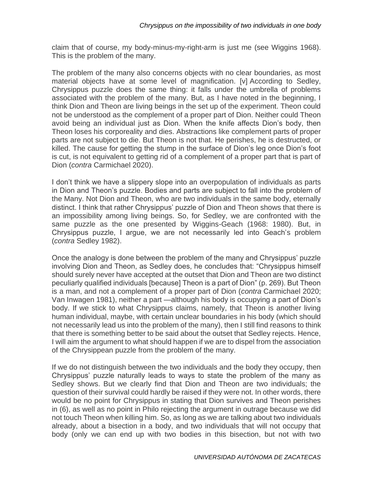claim that of course, my body-minus-my-right-arm is just me (see Wiggins 1968). This is the problem of the many.

The problem of the many also concerns objects with no clear boundaries, as most material objects have at some level of magnification. [v] According to Sedley, Chrysippus puzzle does the same thing: it falls under the umbrella of problems associated with the problem of the many. But, as I have noted in the beginning, I think Dion and Theon are living beings in the set up of the experiment. Theon could not be understood as the complement of a proper part of Dion. Neither could Theon avoid being an individual just as Dion. When the knife affects Dion's body, then Theon loses his corporeality and dies. Abstractions like complement parts of proper parts are not subject to die. But Theon is not that. He perishes, he is destructed, or killed. The cause for getting the stump in the surface of Dion's leg once Dion's foot is cut, is not equivalent to getting rid of a complement of a proper part that is part of Dion (*contra* Carmichael 2020).

I don't think we have a slippery slope into an overpopulation of individuals as parts in Dion and Theon's puzzle. Bodies and parts are subject to fall into the problem of the Many. Not Dion and Theon, who are two individuals in the same body, eternally distinct. I think that rather Chrysippus' puzzle of Dion and Theon shows that there is an impossibility among living beings. So, for Sedley, we are confronted with the same puzzle as the one presented by Wiggins-Geach (1968: 1980). But, in Chrysippus puzzle, I argue, we are not necessarily led into Geach's problem (*contra* Sedley 1982).

Once the analogy is done between the problem of the many and Chrysippus' puzzle involving Dion and Theon, as Sedley does, he concludes that: "Chrysippus himself should surely never have accepted at the outset that Dion and Theon are two distinct peculiarly qualified individuals [because] Theon is a part of Dion" (p. 269). But Theon is a man, and not a complement of a proper part of Dion (*contra* Carmichael 2020; Van Inwagen 1981), neither a part —although his body is occupying a part of Dion's body. If we stick to what Chrysippus claims, namely, that Theon is another living human individual, maybe, with certain unclear boundaries in his body (which should not necessarily lead us into the problem of the many), then I still find reasons to think that there is something better to be said about the outset that Sedley rejects. Hence, I will aim the argument to what should happen if we are to dispel from the association of the Chrysippean puzzle from the problem of the many.

If we do not distinguish between the two individuals and the body they occupy, then Chrysippus' puzzle naturally leads to ways to state the problem of the many as Sedley shows. But we clearly find that Dion and Theon are two individuals; the question of their survival could hardly be raised if they were not. In other words, there would be no point for Chrysippus in stating that Dion survives and Theon perishes in (6), as well as no point in Philo rejecting the argument in outrage because we did not touch Theon when killing him. So, as long as we are talking about two individuals already, about a bisection in a body, and two individuals that will not occupy that body (only we can end up with two bodies in this bisection, but not with two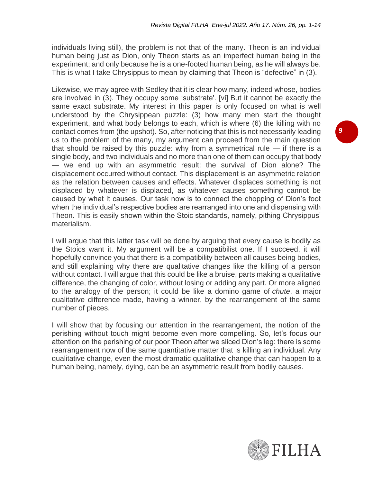individuals living still), the problem is not that of the many. Theon is an individual human being just as Dion, only Theon starts as an imperfect human being in the experiment; and only because he is a one-footed human being, as he will always be. This is what I take Chrysippus to mean by claiming that Theon is "defective" in (3).

Likewise, we may agree with Sedley that it is clear how many, indeed whose, bodies are involved in (3). They occupy some 'substrate'. [vi] But it cannot be exactly the same exact substrate. My interest in this paper is only focused on what is well understood by the Chrysippean puzzle: (3) how many men start the thought experiment, and what body belongs to each, which is where (6) the killing with no contact comes from (the upshot). So, after noticing that this is not necessarily leading us to the problem of the many, my argument can proceed from the main question that should be raised by this puzzle: why from a symmetrical rule  $-$  if there is a single body, and two individuals and no more than one of them can occupy that body — we end up with an asymmetric result: the survival of Dion alone? The displacement occurred without contact. This displacement is an asymmetric relation as the relation between causes and effects. Whatever displaces something is not displaced by whatever is displaced, as whatever causes something cannot be caused by what it causes. Our task now is to connect the chopping of Dion's foot when the individual's respective bodies are rearranged into one and dispensing with Theon. This is easily shown within the Stoic standards, namely, pithing Chrysippus' materialism.

I will argue that this latter task will be done by arguing that every cause is bodily as the Stoics want it. My argument will be a compatibilist one. If I succeed, it will hopefully convince you that there is a compatibility between all causes being bodies, and still explaining why there are qualitative changes like the killing of a person without contact. I will argue that this could be like a bruise, parts making a qualitative difference, the changing of color, without losing or adding any part. Or more aligned to the analogy of the person; it could be like a domino game of *chute*, a major qualitative difference made, having a winner, by the rearrangement of the same number of pieces.

I will show that by focusing our attention in the rearrangement, the notion of the perishing without touch might become even more compelling. So, let's focus our attention on the perishing of our poor Theon after we sliced Dion's leg: there is some rearrangement now of the same quantitative matter that is killing an individual. Any qualitative change, even the most dramatic qualitative change that can happen to a human being, namely, dying, can be an asymmetric result from bodily causes.

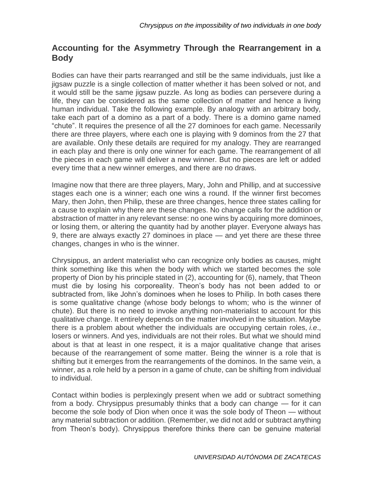# **Accounting for the Asymmetry Through the Rearrangement in a Body**

Bodies can have their parts rearranged and still be the same individuals, just like a jigsaw puzzle is a single collection of matter whether it has been solved or not, and it would still be the same jigsaw puzzle. As long as bodies can persevere during a life, they can be considered as the same collection of matter and hence a living human individual. Take the following example. By analogy with an arbitrary body, take each part of a domino as a part of a body. There is a domino game named "chute". It requires the presence of all the 27 dominoes for each game. Necessarily there are three players, where each one is playing with 9 dominos from the 27 that are available. Only these details are required for my analogy. They are rearranged in each play and there is only one winner for each game. The rearrangement of all the pieces in each game will deliver a new winner. But no pieces are left or added every time that a new winner emerges, and there are no draws.

Imagine now that there are three players, Mary, John and Phillip, and at successive stages each one is a winner; each one wins a round. If the winner first becomes Mary, then John, then Philip, these are three changes, hence three states calling for a cause to explain why there are these changes. No change calls for the addition or abstraction of matter in any relevant sense: no one wins by acquiring more dominoes, or losing them, or altering the quantity had by another player. Everyone always has 9, there are always exactly 27 dominoes in place — and yet there are these three changes, changes in who is the winner.

Chrysippus, an ardent materialist who can recognize only bodies as causes, might think something like this when the body with which we started becomes the sole property of Dion by his principle stated in (2), accounting for (6), namely, that Theon must die by losing his corporeality. Theon's body has not been added to or subtracted from, like John's dominoes when he loses to Philip. In both cases there is some qualitative change (whose body belongs to whom; who is the winner of chute). But there is no need to invoke anything non-materialist to account for this qualitative change. It entirely depends on the matter involved in the situation. Maybe there is a problem about whether the individuals are occupying certain roles, *i.e*., losers or winners. And yes, individuals are not their roles. But what we should mind about is that at least in one respect, it is a major qualitative change that arises because of the rearrangement of some matter. Being the winner is a role that is shifting but it emerges from the rearrangements of the dominos. In the same vein, a winner, as a role held by a person in a game of chute, can be shifting from individual to individual.

Contact within bodies is perplexingly present when we add or subtract something from a body. Chrysippus presumably thinks that a body can change — for it can become the sole body of Dion when once it was the sole body of Theon — without any material subtraction or addition. (Remember, we did not add or subtract anything from Theon's body). Chrysippus therefore thinks there can be genuine material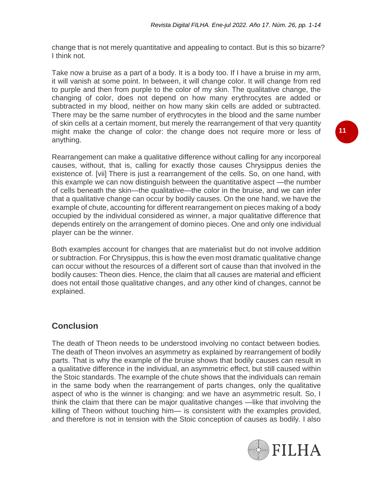change that is not merely quantitative and appealing to contact. But is this so bizarre? I think not.

Take now a bruise as a part of a body. It is a body too. If I have a bruise in my arm, it will vanish at some point. In between, it will change color. It will change from red to purple and then from purple to the color of my skin. The qualitative change, the changing of color, does not depend on how many erythrocytes are added or subtracted in my blood, neither on how many skin cells are added or subtracted. There may be the same number of erythrocytes in the blood and the same number of skin cells at a certain moment, but merely the rearrangement of that very quantity might make the change of color: the change does not require more or less of anything.

Rearrangement can make a qualitative difference without calling for any incorporeal causes, without, that is, calling for exactly those causes Chrysippus denies the existence of. [vii] There is just a rearrangement of the cells. So, on one hand, with this example we can now distinguish between the quantitative aspect —the number of cells beneath the skin—the qualitative—the color in the bruise, and we can infer that a qualitative change can occur by bodily causes. On the one hand, we have the example of chute, accounting for different rearrangement on pieces making of a body occupied by the individual considered as winner, a major qualitative difference that depends entirely on the arrangement of domino pieces. One and only one individual player can be the winner.

Both examples account for changes that are materialist but do not involve addition or subtraction. For Chrysippus, this is how the even most dramatic qualitative change can occur without the resources of a different sort of cause than that involved in the bodily causes: Theon dies. Hence, the claim that all causes are material and efficient does not entail those qualitative changes, and any other kind of changes, cannot be explained.

# **Conclusion**

The death of Theon needs to be understood involving no contact between bodies. The death of Theon involves an asymmetry as explained by rearrangement of bodily parts. That is why the example of the bruise shows that bodily causes can result in a qualitative difference in the individual, an asymmetric effect, but still caused within the Stoic standards. The example of the chute shows that the individuals can remain in the same body when the rearrangement of parts changes, only the qualitative aspect of who is the winner is changing: and we have an asymmetric result. So, I think the claim that there can be major qualitative changes —like that involving the killing of Theon without touching him— is consistent with the examples provided, and therefore is not in tension with the Stoic conception of causes as bodily. I also

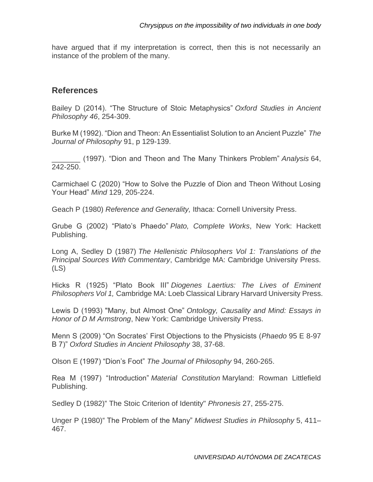have argued that if my interpretation is correct, then this is not necessarily an instance of the problem of the many.

### **References**

Bailey D (2014). "The Structure of Stoic Metaphysics" *Oxford Studies in Ancient Philosophy 46*, 254-309.

Burke M (1992). "Dion and Theon: An Essentialist Solution to an Ancient Puzzle" *The Journal of Philosophy* 91, p 129-139.

\_\_\_\_\_\_\_ (1997). "Dion and Theon and The Many Thinkers Problem" *Analysis* 64, 242-250.

Carmichael C (2020) "How to Solve the Puzzle of Dion and Theon Without Losing Your Head" *Mind* 129, 205-224.

Geach P (1980) *Reference and Generality,* Ithaca: Cornell University Press.

Grube G (2002) "Plato's Phaedo" *Plato, Complete Works*, New York: Hackett Publishing.

Long A, Sedley D (1987) *The Hellenistic Philosophers Vol 1: Translations of the Principal Sources With Commentary*, Cambridge MA: Cambridge University Press. (LS)

Hicks R (1925) "Plato Book III" *Diogenes Laertius: The Lives of Eminent Philosophers Vol 1,* Cambridge MA: Loeb Classical Library Harvard University Press.

Lewis D (1993) "Many, but Almost One" *Ontology, Causality and Mind: Essays in Honor of D M Armstrong*, New York: Cambridge University Press.

Menn S (2009) "On Socrates' First Objections to the Physicists (*Phaedo* 95 E 8-97 B 7)" *Oxford Studies in Ancient Philosophy* 38, 37-68.

Olson E (1997) "Dion's Foot" *The Journal of Philosophy* 94, 260-265.

Rea M (1997) "Introduction" *Material Constitution* Maryland: Rowman Littlefield Publishing.

Sedley D (1982)" The Stoic Criterion of Identity" *Phronesis* 27, 255-275.

Unger P (1980)" The Problem of the Many" *Midwest Studies in Philosophy* 5, 411– 467.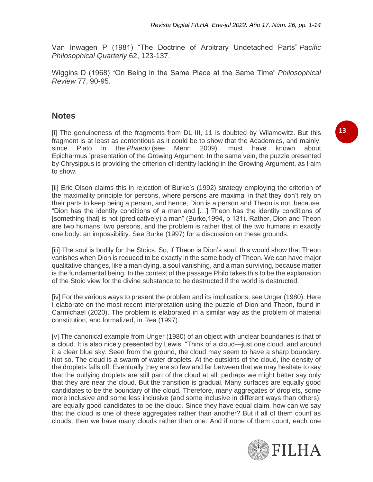Van Inwagen P (1981) "The Doctrine of Arbitrary Undetached Parts" *Pacific Philosophical Quarterly* 62, 123-137.

Wiggins D (1968) "On Being in the Same Place at the Same Time" *Philosophical Review* 77, 90-95.

### **Notes**

[i] The genuineness of the fragments from DL III, 11 is doubted by Wilamowitz. But this fragment is at least as contentious as it could be to show that the Academics, and mainly, since Plato in the *Phaedo* (see Menn 2009), must have known about Epicharmus 'presentation of the Growing Argument. In the same vein, the puzzle presented by Chrysippus is providing the criterion of identity lacking in the Growing Argument, as I aim to show.

[ii] Eric Olson claims this in rejection of Burke's (1992) strategy employing the criterion of the maximality principle for persons, where persons are maximal in that they don't rely on their parts to keep being a person, and hence, Dion is a person and Theon is not, because, "Dion has the identity conditions of a man and […] Theon has the identity conditions of [something that] is not (predicatively) a man" (Burke,1994, p 131). Rather, Dion and Theon are two humans, two persons, and the problem is rather that of the two humans in exactly one body: an impossibility. See Burke (1997) for a discussion on these grounds.

[iii] The soul is bodily for the Stoics. So, if Theon is Dion's soul, this would show that Theon vanishes when Dion is reduced to be exactly in the same body of Theon. We can have major qualitative changes, like a man dying, a soul vanishing, and a man surviving, because matter is the fundamental being. In the context of the passage Philo takes this to be the explanation of the Stoic view for the divine substance to be destructed if the world is destructed.

[iv] For the various ways to present the problem and its implications, see Unger (1980). Here I elaborate on the most recent interpretation using the puzzle of Dion and Theon, found in Carmichael (2020). The problem is elaborated in a similar way as the problem of material constitution, and formalized, in Rea (1997).

[v] The canonical example from Unger (1980) of an object with unclear boundaries is that of a cloud. It is also nicely presented by Lewis: "Think of a cloud—just one cloud, and around it a clear blue sky. Seen from the ground, the cloud may seem to have a sharp boundary. Not so. The cloud is a swarm of water droplets. At the outskirts of the cloud, the density of the droplets falls off. Eventually they are so few and far between that we may hesitate to say that the outlying droplets are still part of the cloud at all; perhaps we might better say only that they are near the cloud. But the transition is gradual. Many surfaces are equally good candidates to be the boundary of the cloud. Therefore, many aggregates of droplets, some more inclusive and some less inclusive (and some inclusive in different ways than others), are equally good candidates to be the cloud. Since they have equal claim, how can we say that the cloud is one of these aggregates rather than another? But if all of them count as clouds, then we have many clouds rather than one. And if none of them count, each one